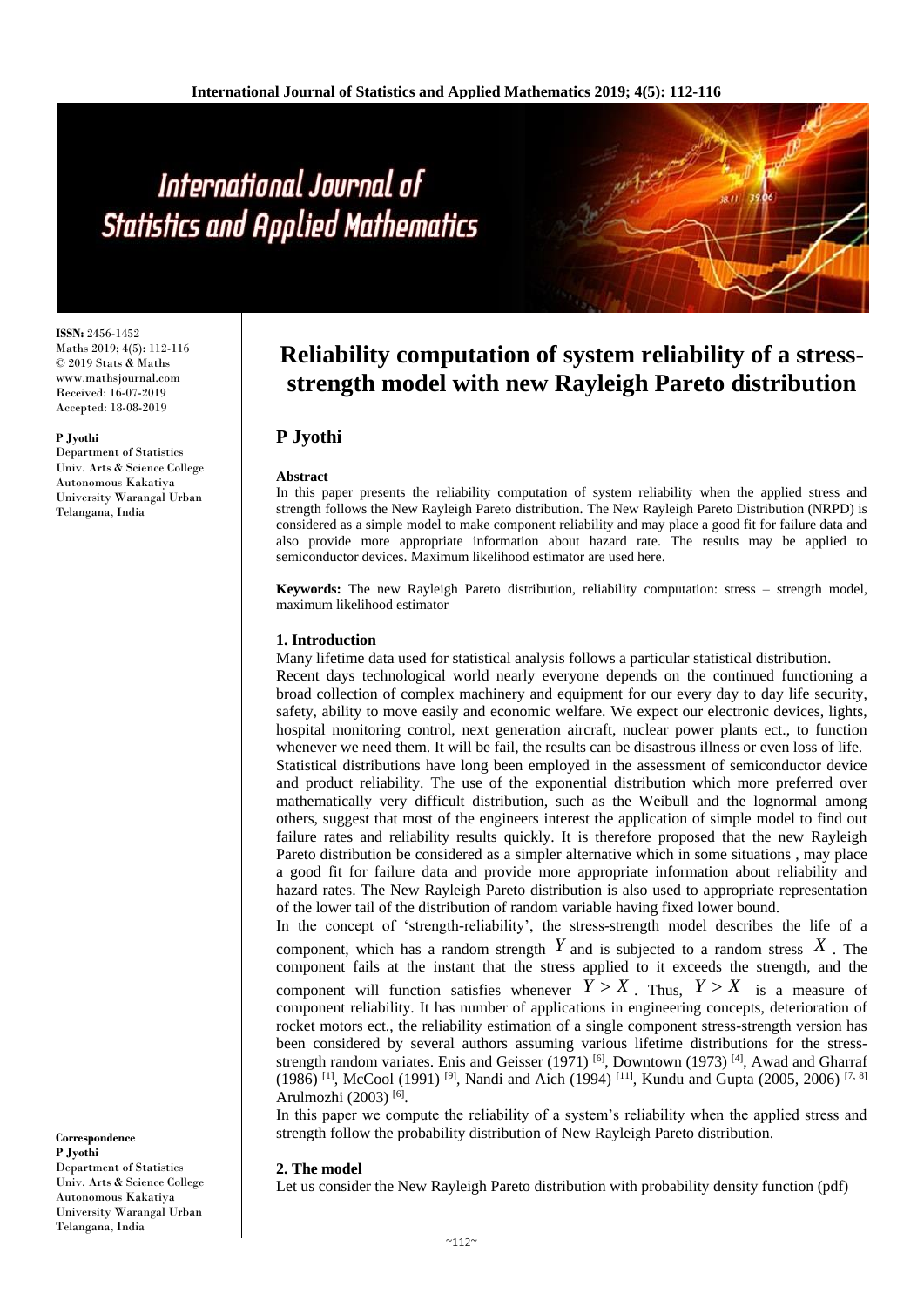# International Journal of **Statistics and Applied Mathematics**

**ISSN:** 2456-1452 Maths 2019; 4(5): 112-116 © 2019 Stats & Maths www.mathsjournal.com Received: 16-07-2019 Accepted: 18-08-2019

#### **P Jyothi**

Department of Statistics Univ. Arts & Science College Autonomous Kakatiya University Warangal Urban Telangana, India

**Correspondence P Jyothi**

Department of Statistics Univ. Arts & Science College Autonomous Kakatiya University Warangal Urban Telangana, India

## **Reliability computation of system reliability of a stressstrength model with new Rayleigh Pareto distribution**

### **P Jyothi**

#### **Abstract**

In this paper presents the reliability computation of system reliability when the applied stress and strength follows the New Rayleigh Pareto distribution. The New Rayleigh Pareto Distribution (NRPD) is considered as a simple model to make component reliability and may place a good fit for failure data and also provide more appropriate information about hazard rate. The results may be applied to semiconductor devices. Maximum likelihood estimator are used here.

**Keywords:** The new Rayleigh Pareto distribution, reliability computation: stress – strength model, maximum likelihood estimator

#### **1. Introduction**

Many lifetime data used for statistical analysis follows a particular statistical distribution.

Recent days technological world nearly everyone depends on the continued functioning a broad collection of complex machinery and equipment for our every day to day life security, safety, ability to move easily and economic welfare. We expect our electronic devices, lights, hospital monitoring control, next generation aircraft, nuclear power plants ect., to function whenever we need them. It will be fail, the results can be disastrous illness or even loss of life. Statistical distributions have long been employed in the assessment of semiconductor device and product reliability. The use of the exponential distribution which more preferred over mathematically very difficult distribution, such as the Weibull and the lognormal among others, suggest that most of the engineers interest the application of simple model to find out failure rates and reliability results quickly. It is therefore proposed that the new Rayleigh Pareto distribution be considered as a simpler alternative which in some situations , may place a good fit for failure data and provide more appropriate information about reliability and hazard rates. The New Rayleigh Pareto distribution is also used to appropriate representation of the lower tail of the distribution of random variable having fixed lower bound.

In the concept of 'strength-reliability', the stress-strength model describes the life of a component, which has a random strength  $Y$  and is subjected to a random stress  $X$ . The component fails at the instant that the stress applied to it exceeds the strength, and the component will function satisfies whenever  $Y > X$ . Thus,  $Y > X$  is a measure of component reliability. It has number of applications in engineering concepts, deterioration of rocket motors ect., the reliability estimation of a single component stress-strength version has been considered by several authors assuming various lifetime distributions for the stressstrength random variates. Enis and Geisser (1971)<sup>[6]</sup>, Downtown (1973)<sup>[4]</sup>, Awad and Gharraf (1986)<sup>[1]</sup>, McCool (1991)<sup>[9]</sup>, Nandi and Aich (1994)<sup>[11]</sup>, Kundu and Gupta (2005, 2006)<sup>[7, 8]</sup> Arulmozhi (2003)<sup>[6]</sup>.

In this paper we compute the reliability of a system's reliability when the applied stress and strength follow the probability distribution of New Rayleigh Pareto distribution.

#### **2. The model**

Let us consider the New Rayleigh Pareto distribution with probability density function (pdf)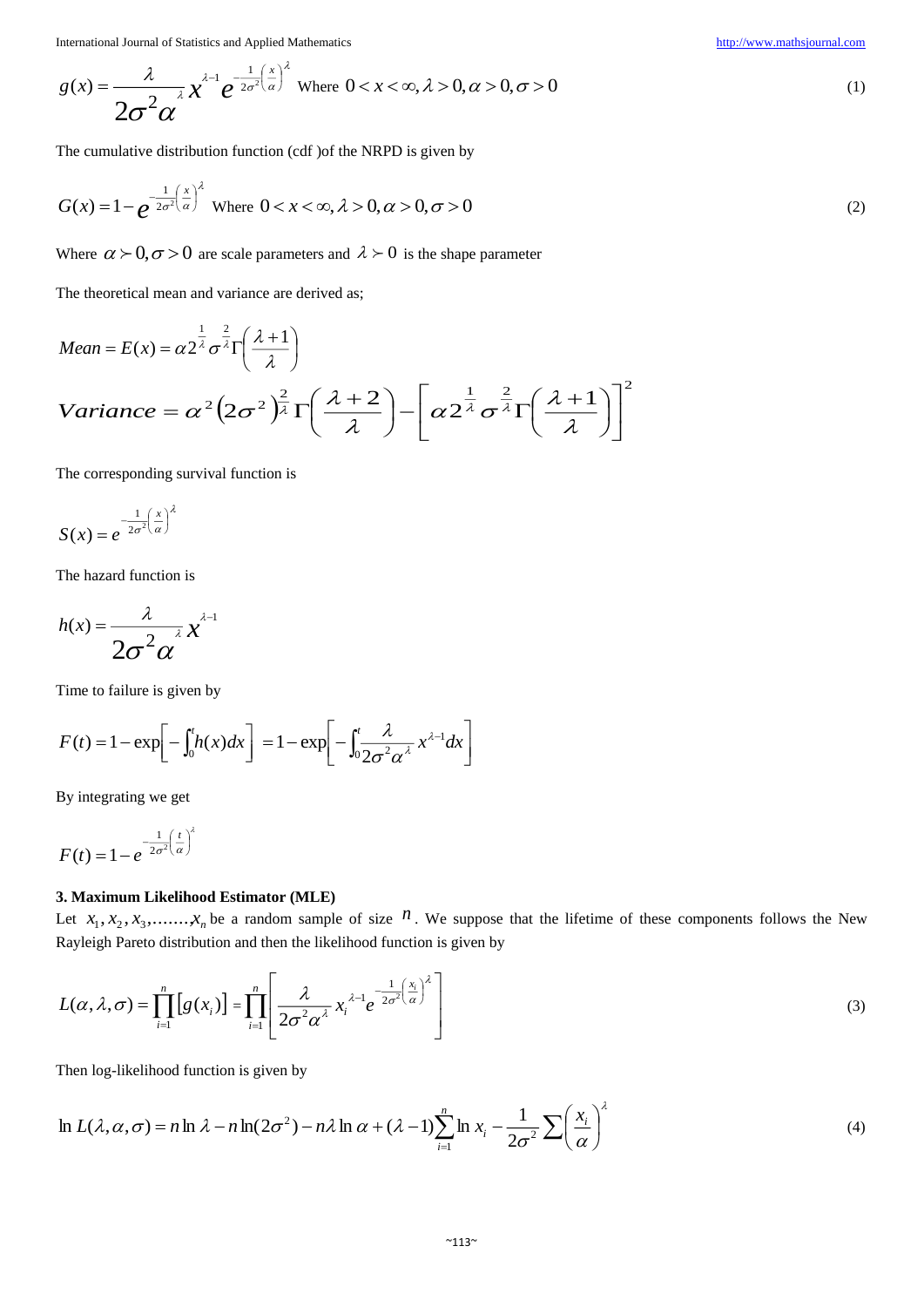International Journal of Statistics and Applied Mathematics [http://www.mathsjournal.com](http://www.mathsjournal.com/)

$$
g(x) = \frac{\lambda}{2\sigma^2 \alpha} x^{\lambda - 1} e^{-\frac{1}{2\sigma^2} \left(\frac{x}{\alpha}\right)^{\lambda}}
$$
 Where  $0 < x < \infty, \lambda > 0, \alpha > 0, \sigma > 0$  (1)

The cumulative distribution function (cdf )of the NRPD is given by

$$
G(x) = 1 - e^{-\frac{1}{2\sigma^2} \left(\frac{x}{\alpha}\right)^2} \text{ Where } 0 < x < \infty, \lambda > 0, \alpha > 0, \sigma > 0 \tag{2}
$$

Where  $\alpha \succ 0, \sigma > 0$  are scale parameters and  $\lambda \succ 0$  is the shape parameter

The theoretical mean and variance are derived as;

$$
Mean = E(x) = \alpha 2^{\frac{1}{\lambda}} \sigma^{\frac{2}{\lambda}} \Gamma\left(\frac{\lambda + 1}{\lambda}\right)
$$
\n
$$
Variance = \alpha^2 \left(2\sigma^2\right)^{\frac{2}{\lambda}} \Gamma\left(\frac{\lambda + 2}{\lambda}\right) - \left[\alpha 2^{\frac{1}{\lambda}} \sigma^{\frac{2}{\lambda}} \Gamma\left(\frac{\lambda + 1}{\lambda}\right)\right]^2
$$

The corresponding survival function is

$$
S(x) = e^{-\frac{1}{2\sigma^2} \left(\frac{x}{\alpha}\right)^{\lambda}}
$$

The hazard function is

$$
h(x) = \frac{\lambda}{2\sigma^2 \alpha} x^{\lambda-1}
$$

Time to failure is given by

$$
F(t) = 1 - \exp\left[-\int_0^t h(x)dx\right] = 1 - \exp\left[-\int_0^t \frac{\lambda}{2\sigma^2 \alpha^{\lambda}} x^{\lambda-1} dx\right]
$$

By integrating we get

$$
F(t) = 1 - e^{-\frac{1}{2\sigma^2} \left(\frac{t}{\alpha}\right)^{\lambda}}
$$

#### **3. Maximum Likelihood Estimator (MLE)**

Let  $x_1, x_2, x_3, \ldots, x_n$  be a random sample of size  $n$ . We suppose that the lifetime of these components follows the New Rayleigh Pareto distribution and then the likelihood function is given by

$$
L(\alpha, \lambda, \sigma) = \prod_{i=1}^{n} \left[ g(x_i) \right] = \prod_{i=1}^{n} \left[ \frac{\lambda}{2\sigma^2 \alpha^{\lambda}} x_i^{\lambda - 1} e^{-\frac{1}{2\sigma^2} \left( \frac{x_i}{\alpha} \right)^{\lambda}} \right]
$$
(3)

Then log-likelihood function is given by

$$
\ln L(\lambda, \alpha, \sigma) = n \ln \lambda - n \ln(2\sigma^2) - n\lambda \ln \alpha + (\lambda - 1) \sum_{i=1}^n \ln x_i - \frac{1}{2\sigma^2} \sum \left(\frac{x_i}{\alpha}\right)^{\lambda}
$$
\n(4)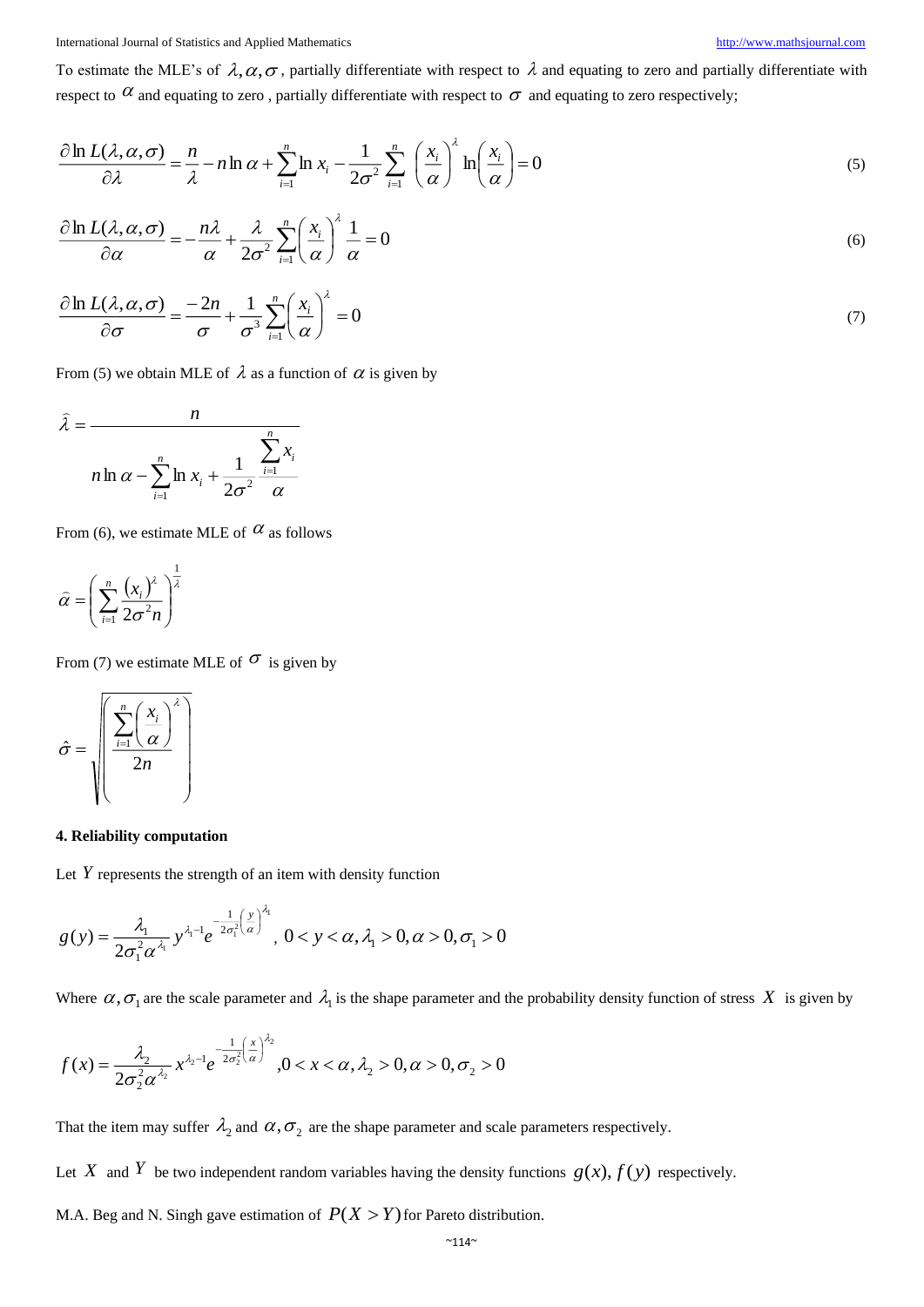International Journal of Statistics and Applied Mathematics [http://www.mathsjournal.com](http://www.mathsjournal.com/)

To estimate the MLE's of  $\lambda, \alpha, \sigma$ , partially differentiate with respect to  $\lambda$  and equating to zero and partially differentiate with respect to  $\alpha$  and equating to zero, partially differentiate with respect to  $\sigma$  and equating to zero respectively;

$$
\frac{\partial \ln L(\lambda, \alpha, \sigma)}{\partial \lambda} = \frac{n}{\lambda} - n \ln \alpha + \sum_{i=1}^{n} \ln x_i - \frac{1}{2\sigma^2} \sum_{i=1}^{n} \left(\frac{x_i}{\alpha}\right)^{\lambda} \ln \left(\frac{x_i}{\alpha}\right) = 0
$$
\n(5)

$$
\frac{\partial \ln L(\lambda, \alpha, \sigma)}{\partial \alpha} = -\frac{n\lambda}{\alpha} + \frac{\lambda}{2\sigma^2} \sum_{i=1}^n \left(\frac{x_i}{\alpha}\right)^{\lambda} \frac{1}{\alpha} = 0
$$
\n(6)

$$
\frac{\partial \ln L(\lambda, \alpha, \sigma)}{\partial \sigma} = \frac{-2n}{\sigma} + \frac{1}{\sigma^3} \sum_{i=1}^n \left(\frac{x_i}{\alpha}\right)^{\lambda} = 0
$$
\n(7)

From (5) we obtain MLE of  $\lambda$  as a function of  $\alpha$  is given by

$$
\hat{\lambda} = \frac{n}{n \ln \alpha - \sum_{i=1}^{n} \ln x_i + \frac{1}{2\sigma^2} \frac{\sum_{i=1}^{n} x_i}{\alpha}}
$$

From (6), we estimate MLE of  $\alpha$  as follows

$$
\widehat{\alpha} = \left(\sum_{i=1}^{n} \frac{(x_i)^{\lambda}}{2\sigma^2 n}\right)^{\frac{1}{\lambda}}
$$

From (7) we estimate MLE of  $\sigma$  is given by

$$
\hat{\sigma} = \sqrt{\frac{\sum_{i=1}^{n} \left(\frac{x_i}{\alpha}\right)^{\lambda}}{2n}}
$$

#### **4. Reliability computation**

Let Y represents the strength of an item with density function

$$
g(y) = \frac{\lambda_1}{2\sigma_1^2 \alpha^{\lambda_1}} y^{\lambda_1 - 1} e^{-\frac{1}{2\sigma_1^2} \left(\frac{y}{\alpha}\right)^{\lambda_1}}, \quad 0 < y < \alpha, \quad \lambda_1 > 0, \quad \alpha > 0, \quad \sigma_1 > 0
$$

Where  $\alpha, \sigma_1$  are the scale parameter and  $\lambda_1$  is the shape parameter and the probability density function of stress X is given by

$$
f(x) = \frac{\lambda_2}{2\sigma_2^2 \alpha^{\lambda_2}} x^{\lambda_2 - 1} e^{-\frac{1}{2\sigma_2^2} \left(\frac{x}{\alpha}\right)^{\lambda_2}}, 0 < x < \alpha, \lambda_2 > 0, \alpha > 0, \sigma_2 > 0
$$

That the item may suffer  $\lambda_2$  and  $\alpha, \sigma_2$  are the shape parameter and scale parameters respectively.

Let X and Y be two independent random variables having the density functions  $g(x)$ ,  $f(y)$  respectively.

M.A. Beg and N. Singh gave estimation of  $P(X > Y)$  for Pareto distribution.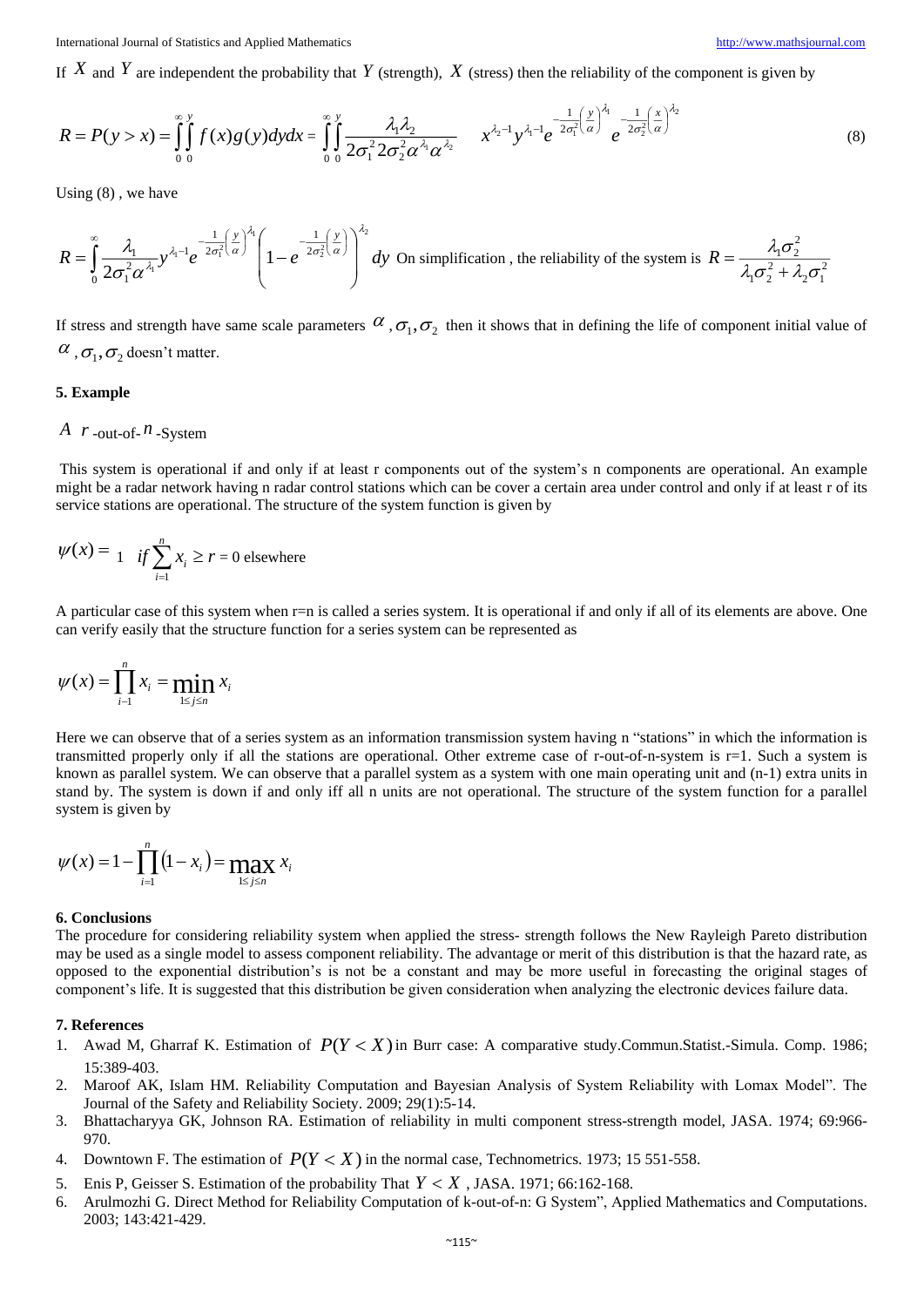If  $X$  and  $Y$  are independent the probability that  $Y$  (strength),  $X$  (stress) then the reliability of the component is given by

$$
R = P(y > x) = \int_{0}^{\infty} \int_{0}^{y} f(x)g(y)dydx = \int_{0}^{\infty} \int_{0}^{y} \frac{\lambda_{1}\lambda_{2}}{2\sigma_{1}^{2}2\sigma_{2}^{2}\alpha^{\lambda_{1}}\alpha^{\lambda_{2}}} dx + \int_{0}^{\lambda_{2}-1} y^{\lambda_{1}-1}e^{-\frac{1}{2\sigma_{1}^{2}}(\frac{y}{\alpha})^{\lambda_{1}}}\frac{1}{e^{-\frac{1}{2\sigma_{2}^{2}}(\frac{x}{\alpha})^{\lambda_{2}}}}
$$
(8)

Using (8) , we have

$$
R = \int_{0}^{\infty} \frac{\lambda_1}{2\sigma_1^2 \alpha^{\lambda_1}} y^{\lambda_1 - 1} e^{-\frac{1}{2\sigma_1^2} \left(\frac{y}{\alpha}\right)^{\lambda_1}} \left(1 - e^{-\frac{1}{2\sigma_2^2} \left(\frac{y}{\alpha}\right)}\right)^{\lambda_2} dy
$$
 On simplification, the reliability of the system is  $R = \frac{\lambda_1 \sigma_2^2}{\lambda_1 \sigma_2^2 + \lambda_2 \sigma_1^2}$ 

If stress and strength have same scale parameters  $\alpha$ ,  $\sigma_1$ ,  $\sigma_2$  then it shows that in defining the life of component initial value of  $\alpha_{\beta}, \sigma_{\gamma}$  doesn't matter.

#### **5. Example**

#### *A*  $r$  -out-of- $n$  -System

This system is operational if and only if at least r components out of the system's n components are operational. An example might be a radar network having n radar control stations which can be cover a certain area under control and only if at least r of its service stations are operational. The structure of the system function is given by

$$
\psi(x) = 1 \quad \text{if } \sum_{i=1}^{n} x_i \ge r = 0 \text{ elsewhere}
$$

A particular case of this system when r=n is called a series system. It is operational if and only if all of its elements are above. One can verify easily that the structure function for a series system can be represented as

$$
\psi(x) = \prod_{i=1}^n x_i = \min_{1 \le j \le n} x_i
$$

Here we can observe that of a series system as an information transmission system having n "stations" in which the information is transmitted properly only if all the stations are operational. Other extreme case of r-out-of-n-system is r=1. Such a system is known as parallel system. We can observe that a parallel system as a system with one main operating unit and (n-1) extra units in stand by. The system is down if and only iff all n units are not operational. The structure of the system function for a parallel system is given by

$$
\psi(x) = 1 - \prod_{i=1}^{n} (1 - x_i) = \max_{1 \le j \le n} x_i
$$

#### **6. Conclusions**

The procedure for considering reliability system when applied the stress- strength follows the New Rayleigh Pareto distribution may be used as a single model to assess component reliability. The advantage or merit of this distribution is that the hazard rate, as opposed to the exponential distribution's is not be a constant and may be more useful in forecasting the original stages of component's life. It is suggested that this distribution be given consideration when analyzing the electronic devices failure data.

#### **7. References**

- 1. Awad M, Gharraf K. Estimation of *P*(*Y X*) in Burr case: A comparative study.Commun.Statist.-Simula. Comp. 1986; 15:389-403.
- 2. Maroof AK, Islam HM. Reliability Computation and Bayesian Analysis of System Reliability with Lomax Model". The Journal of the Safety and Reliability Society. 2009; 29(1):5-14.
- 3. Bhattacharyya GK, Johnson RA. Estimation of reliability in multi component stress-strength model, JASA. 1974; 69:966- 970.
- 4. Downtown F. The estimation of  $P(Y < X)$  in the normal case, Technometrics. 1973; 15 551-558.
- 5. Enis P, Geisser S. Estimation of the probability That  $Y < X$ , JASA. 1971; 66:162-168.
- 6. Arulmozhi G. Direct Method for Reliability Computation of k-out-of-n: G System", Applied Mathematics and Computations. 2003; 143:421-429.